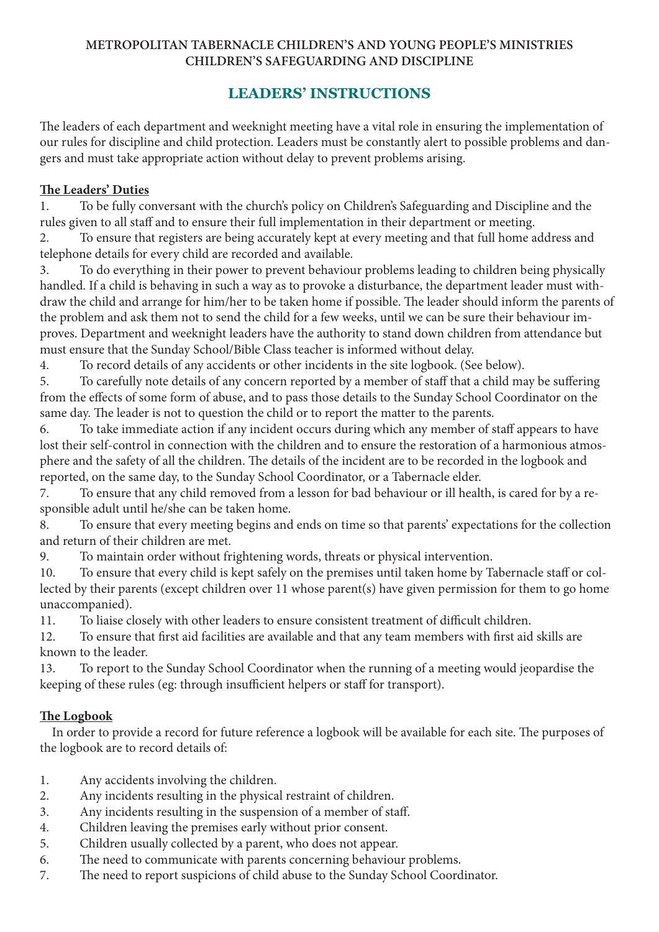#### **METROPOLITAN TABERNACLE CHILDREN'S AND YOUNG PEOPLE'S MINISTRIES CHILDREN'S SAFEGUARDING AND DISCIPLINE**

# **LEADERS' INSTRUCTIONS**

The leaders of each department and weeknight meeting have a vital role in ensuring the implementation of our rules for discipline and child protection. Leaders must be constantly alert to possible problems and dangers and must take appropriate action without delay to prevent problems arising.

#### **The Leaders' Duties**

1. To be fully conversant with the church's policy on Children's Safeguarding and Discipline and the rules given to all staff and to ensure their full implementation in their department or meeting.

2. To ensure that registers are being accurately kept at every meeting and that full home address and telephone details for every child are recorded and available.

3. To do everything in their power to prevent behaviour problems leading to children being physically handled. If a child is behaving in such a way as to provoke a disturbance, the department leader must withdraw the child and arrange for him/her to be taken home if possible. The leader should inform the parents of the problem and ask them not to send the child for a few weeks, until we can be sure their behaviour improves. Department and weeknight leaders have the authority to stand down children from attendance but must ensure that the Sunday School/Bible Class teacher is informed without delay.

4. To record details of any accidents or other incidents in the site logbook. (See below).

5. To carefully note details of any concern reported by a member of staff that a child may be suffering from the effects of some form of abuse, and to pass those details to the Sunday School Coordinator on the same day. The leader is not to question the child or to report the matter to the parents.

6. To take immediate action if any incident occurs during which any member of staff appears to have lost their self-control in connection with the children and to ensure the restoration of a harmonious atmosphere and the safety of all the children. The details of the incident are to be recorded in the logbook and reported, on the same day, to the Sunday School Coordinator, or a Tabernacle elder.

7. To ensure that any child removed from a lesson for bad behaviour or ill health, is cared for by a responsible adult until he/she can be taken home.

8. To ensure that every meeting begins and ends on time so that parents' expectations for the collection and return of their children are met.

9. To maintain order without frightening words, threats or physical intervention.

10. To ensure that every child is kept safely on the premises until taken home by Tabernacle staff or collected by their parents (except children over 11 whose parent(s) have given permission for them to go home unaccompanied).

11. To liaise closely with other leaders to ensure consistent treatment of difficult children.

12. To ensure that first aid facilities are available and that any team members with first aid skills are known to the leader.

13. To report to the Sunday School Coordinator when the running of a meeting would jeopardise the keeping of these rules (eg: through insufficient helpers or staff for transport).

### **The Logbook**

 In order to provide a record for future reference a logbook will be available for each site. The purposes of the logbook are to record details of:

- 1. Any accidents involving the children.
- 2. Any incidents resulting in the physical restraint of children.
- 3. Any incidents resulting in the suspension of a member of staff.
- 4. Children leaving the premises early without prior consent.
- 5. Children usually collected by a parent, who does not appear.
- 6. The need to communicate with parents concerning behaviour problems.
- 7. The need to report suspicions of child abuse to the Sunday School Coordinator.